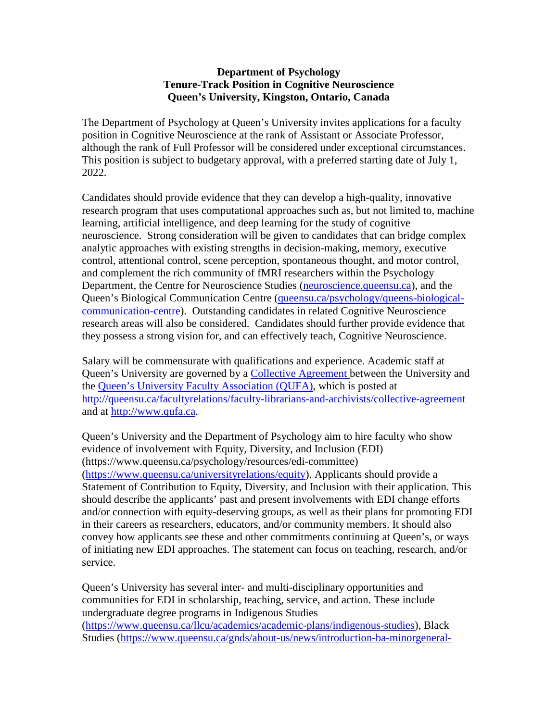## **Department of Psychology Tenure-Track Position in Cognitive Neuroscience Queen's University, Kingston, Ontario, Canada**

The Department of Psychology at Queen's University invites applications for a faculty position in Cognitive Neuroscience at the rank of Assistant or Associate Professor, although the rank of Full Professor will be considered under exceptional circumstances. This position is subject to budgetary approval, with a preferred starting date of July 1, 2022.

Candidates should provide evidence that they can develop a high-quality, innovative research program that uses computational approaches such as, but not limited to, machine learning, artificial intelligence, and deep learning for the study of cognitive neuroscience. Strong consideration will be given to candidates that can bridge complex analytic approaches with existing strengths in decision-making, memory, executive control, attentional control, scene perception, spontaneous thought, and motor control, and complement the rich community of fMRI researchers within the Psychology Department, the Centre for Neuroscience Studies [\(neuroscience.queensu.ca\)](http://neuroscience.queensu.ca/), and the Queen's Biological Communication Centre [\(queensu.ca/psychology/queens-biological](https://www.queensu.ca/psychology/queens-biological-communication-centre)[communication-centre\)](https://www.queensu.ca/psychology/queens-biological-communication-centre). Outstanding candidates in related Cognitive Neuroscience research areas will also be considered. Candidates should further provide evidence that they possess a strong vision for, and can effectively teach, Cognitive Neuroscience.

Salary will be commensurate with qualifications and experience. Academic staff at Queen's University are governed by a [Collective Agreement b](http://queensu.ca/facultyrelations/faculty-librarians-and-archivists/collective-agreement)etween the University and the [Queen's University Faculty Association \(QUFA\),](http://www.qufa.ca/) which is posted at <http://queensu.ca/facultyrelations/faculty-librarians-and-archivists/collective-agreement> and at [http://www.qufa.ca.](http://www.qufa.ca/)

Queen's University and the Department of Psychology aim to hire faculty who show evidence of involvement with Equity, Diversity, and Inclusion (EDI) (https://www.queensu.ca/psychology/resources/edi-committee) [\(https://www.queensu.ca/universityrelations/equity\)](https://www.queensu.ca/universityrelations/equity). Applicants should provide a Statement of Contribution to Equity, Diversity, and Inclusion with their application. This should describe the applicants' past and present involvements with EDI change efforts and/or connection with equity-deserving groups, as well as their plans for promoting EDI in their careers as researchers, educators, and/or community members. It should also convey how applicants see these and other commitments continuing at Queen's, or ways of initiating new EDI approaches. The statement can focus on teaching, research, and/or service.

Queen's University has several inter- and multi-disciplinary opportunities and communities for EDI in scholarship, teaching, service, and action. These include undergraduate degree programs in Indigenous Studies [\(https://www.queensu.ca/llcu/academics/academic-plans/indigenous-studies\)](https://www.queensu.ca/llcu/academics/academic-plans/indigenous-studies), Black Studies [\(https://www.queensu.ca/gnds/about-us/news/introduction-ba-minorgeneral-](https://www.queensu.ca/gnds/about-us/news/introduction-ba-minorgeneral-black-studies)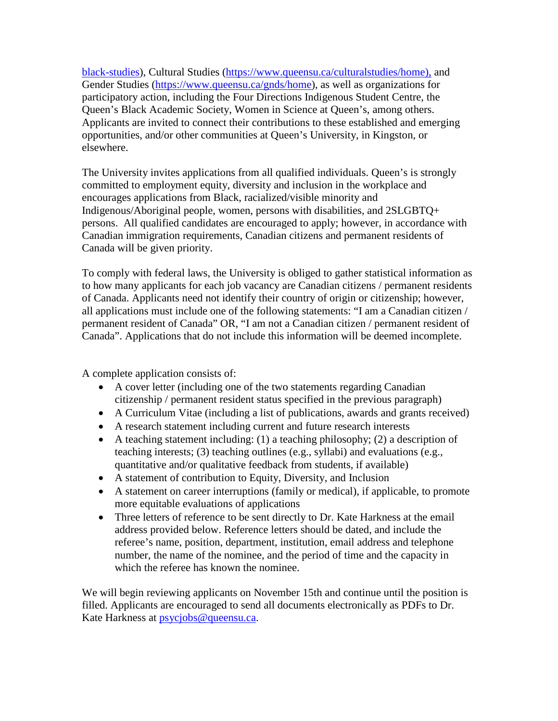[black-studies\)](https://www.queensu.ca/gnds/about-us/news/introduction-ba-minorgeneral-black-studies), Cultural Studies [\(https://www.queensu.ca/culturalstudies/home\),](https://www.queensu.ca/culturalstudies/home) and Gender Studies [\(https://www.queensu.ca/gnds/home\)](https://www.queensu.ca/gnds/home), as well as organizations for participatory action, including the Four Directions Indigenous Student Centre, the Queen's Black Academic Society, Women in Science at Queen's, among others. Applicants are invited to connect their contributions to these established and emerging opportunities, and/or other communities at Queen's University, in Kingston, or elsewhere.

The University invites applications from all qualified individuals. Queen's is strongly committed to employment equity, diversity and inclusion in the workplace and encourages applications from Black, racialized/visible minority and Indigenous/Aboriginal people, women, persons with disabilities, and 2SLGBTQ+ persons. All qualified candidates are encouraged to apply; however, in accordance with Canadian immigration requirements, Canadian citizens and permanent residents of Canada will be given priority.

To comply with federal laws, the University is obliged to gather statistical information as to how many applicants for each job vacancy are Canadian citizens / permanent residents of Canada. Applicants need not identify their country of origin or citizenship; however, all applications must include one of the following statements: "I am a Canadian citizen / permanent resident of Canada" OR, "I am not a Canadian citizen / permanent resident of Canada". Applications that do not include this information will be deemed incomplete.

A complete application consists of:

- A cover letter (including one of the two statements regarding Canadian citizenship / permanent resident status specified in the previous paragraph)
- A Curriculum Vitae (including a list of publications, awards and grants received)
- A research statement including current and future research interests
- A teaching statement including: (1) a teaching philosophy; (2) a description of teaching interests; (3) teaching outlines (e.g., syllabi) and evaluations (e.g., quantitative and/or qualitative feedback from students, if available)
- A statement of contribution to Equity, Diversity, and Inclusion
- A statement on career interruptions (family or medical), if applicable, to promote more equitable evaluations of applications
- Three letters of reference to be sent directly to Dr. Kate Harkness at the email address provided below. Reference letters should be dated, and include the referee's name, position, department, institution, email address and telephone number, the name of the nominee, and the period of time and the capacity in which the referee has known the nominee.

We will begin reviewing applicants on November 15th and continue until the position is filled. Applicants are encouraged to send all documents electronically as PDFs to Dr. Kate Harkness at [psycjobs@queensu.ca.](mailto:psycjobs@queensu.ca)